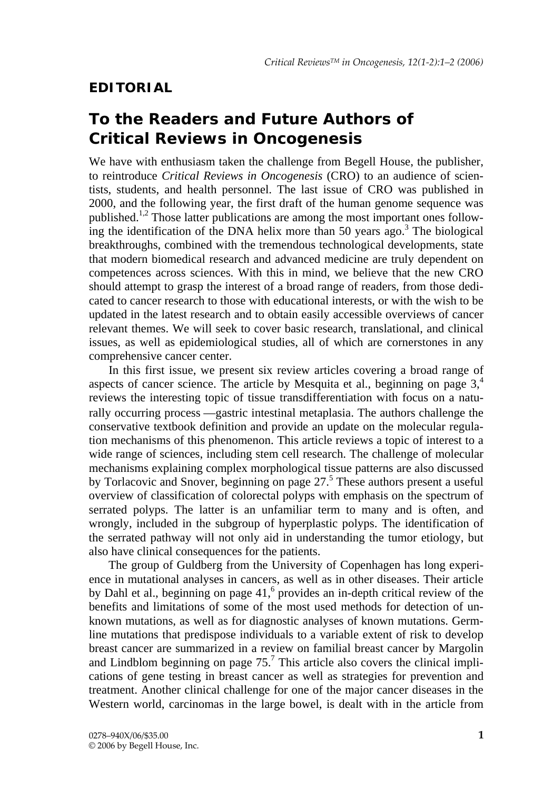## **EDITORIAL**

## **To the Readers and Future Authors of**  *Critical Reviews in Oncogenesis*

We have with enthusiasm taken the challenge from Begell House, the publisher, to reintroduce *Critical Reviews in Oncogenesis* (CRO) to an audience of scientists, students, and health personnel. The last issue of CRO was published in 2000, and the following year, the first draft of the human genome sequence was published.1,2 Those latter publications are among the most important ones following the identification of the DNA helix more than 50 years  $\rm{ago.}^3$  The biological breakthroughs, combined with the tremendous technological developments, state that modern biomedical research and advanced medicine are truly dependent on competences across sciences. With this in mind, we believe that the new CRO should attempt to grasp the interest of a broad range of readers, from those dedicated to cancer research to those with educational interests, or with the wish to be updated in the latest research and to obtain easily accessible overviews of cancer relevant themes. We will seek to cover basic research, translational, and clinical issues, as well as epidemiological studies, all of which are cornerstones in any comprehensive cancer center.

In this first issue, we present six review articles covering a broad range of aspects of cancer science. The article by Mesquita et al., beginning on page  $3<sup>4</sup>$ reviews the interesting topic of tissue transdifferentiation with focus on a naturally occurring process —gastric intestinal metaplasia. The authors challenge the conservative textbook definition and provide an update on the molecular regulation mechanisms of this phenomenon. This article reviews a topic of interest to a wide range of sciences, including stem cell research. The challenge of molecular mechanisms explaining complex morphological tissue patterns are also discussed by Torlacovic and Snover, beginning on page  $27<sup>5</sup>$  These authors present a useful overview of classification of colorectal polyps with emphasis on the spectrum of serrated polyps. The latter is an unfamiliar term to many and is often, and wrongly, included in the subgroup of hyperplastic polyps. The identification of the serrated pathway will not only aid in understanding the tumor etiology, but also have clinical consequences for the patients.

The group of Guldberg from the University of Copenhagen has long experience in mutational analyses in cancers, as well as in other diseases. Their article by Dahl et al., beginning on page  $41<sup>6</sup>$  provides an in-depth critical review of the benefits and limitations of some of the most used methods for detection of unknown mutations, as well as for diagnostic analyses of known mutations. Germline mutations that predispose individuals to a variable extent of risk to develop breast cancer are summarized in a review on familial breast cancer by Margolin and Lindblom beginning on page  $75<sup>7</sup>$  This article also covers the clinical implications of gene testing in breast cancer as well as strategies for prevention and treatment. Another clinical challenge for one of the major cancer diseases in the Western world, carcinomas in the large bowel, is dealt with in the article from